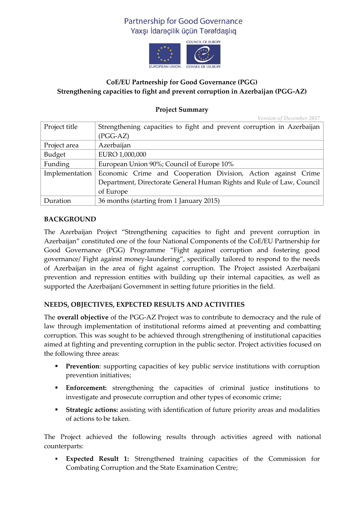# Partnership for Good Governance Yaxsı İdarecilik ücün Terefdaslıq



## **CoE/EU Partnership for Good Governance (PGG) Strengthening capacities to fight and prevent corruption in Azerbaijan (PGG-AZ)**

## **Project Summary**

*Version of December 2017*

| Project title  | Strengthening capacities to fight and prevent corruption in Azerbaijan |
|----------------|------------------------------------------------------------------------|
|                | $(PGG-AZ)$                                                             |
| Project area   | Azerbaijan                                                             |
| Budget         | EURO 1,000,000                                                         |
| Funding        | European Union 90%; Council of Europe 10%                              |
| Implementation | Economic Crime and Cooperation Division, Action against Crime          |
|                | Department, Directorate General Human Rights and Rule of Law, Council  |
|                | of Europe                                                              |
| Duration       | 36 months (starting from 1 January 2015)                               |

### **BACKGROUND**

The Azerbaijan Project "Strengthening capacities to fight and prevent corruption in Azerbaijan" constituted one of the four National Components of the CoE/EU Partnership for Good Governance (PGG) Programme "Fight against corruption and fostering good governance/ Fight against money-laundering", specifically tailored to respond to the needs of Azerbaijan in the area of fight against corruption. The Project assisted Azerbaijani prevention and repression entities with building up their internal capacities, as well as supported the Azerbaijani Government in setting future priorities in the field.

### **NEEDS, OBJECTIVES, EXPECTED RESULTS AND ACTIVITIES**

The **overall objective** of the PGG-AZ Project was to contribute to democracy and the rule of law through implementation of institutional reforms aimed at preventing and combatting corruption. This was sought to be achieved through strengthening of institutional capacities aimed at fighting and preventing corruption in the public sector. Project activities focused on the following three areas:

- **Prevention**: supporting capacities of key public service institutions with corruption prevention initiatives;
- **Enforcement:** strengthening the capacities of criminal justice institutions to investigate and prosecute corruption and other types of economic crime;
- **Strategic actions:** assisting with identification of future priority areas and modalities of actions to be taken.

The Project achieved the following results through activities agreed with national counterparts:

 **Expected Result 1:** Strengthened training capacities of the Commission for Combating Corruption and the State Examination Centre;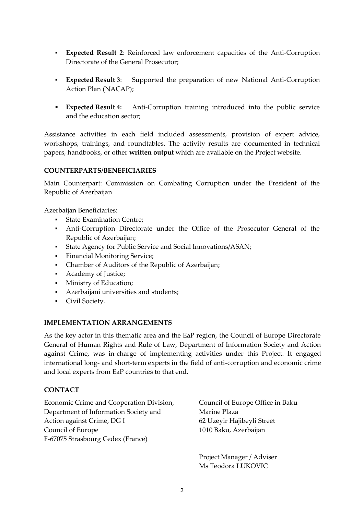- **Expected Result 2**: Reinforced law enforcement capacities of the Anti-Corruption Directorate of the General Prosecutor;
- **Expected Result 3**: Supported the preparation of new National Anti-Corruption Action Plan (NACAP);
- **Expected Result 4:** Anti-Corruption training introduced into the public service and the education sector;

Assistance activities in each field included assessments, provision of expert advice, workshops, trainings, and roundtables. The activity results are documented in technical papers, handbooks, or other **written output** which are available on the Project website.

### **COUNTERPARTS/BENEFICIARIES**

Main Counterpart: Commission on Combating Corruption under the President of the Republic of Azerbaijan

Azerbaijan Beneficiaries:

- **State Examination Centre;**
- Anti-Corruption Directorate under the Office of the Prosecutor General of the Republic of Azerbaijan;
- State Agency for Public Service and Social Innovations/ASAN;
- Financial Monitoring Service;
- Chamber of Auditors of the Republic of Azerbaijan;
- Academy of Justice;
- **Ministry of Education;**
- Azerbaijani universities and students;
- Civil Society.

#### **IMPLEMENTATION ARRANGEMENTS**

As the key actor in this thematic area and the EaP region, the Council of Europe Directorate General of Human Rights and Rule of Law, Department of Information Society and Action against Crime, was in-charge of implementing activities under this Project. It engaged international long- and short-term experts in the field of anti-corruption and economic crime and local experts from EaP countries to that end.

#### **CONTACT**

Economic Crime and Cooperation Division, Department of Information Society and Action against Crime, DG I Council of Europe F-67075 Strasbourg Cedex (France)

Council of Europe Office in Baku Marine Plaza 62 Uzeyir Hajibeyli Street 1010 Baku, Azerbaijan

Project Manager / Adviser Ms Teodora LUKOVIC